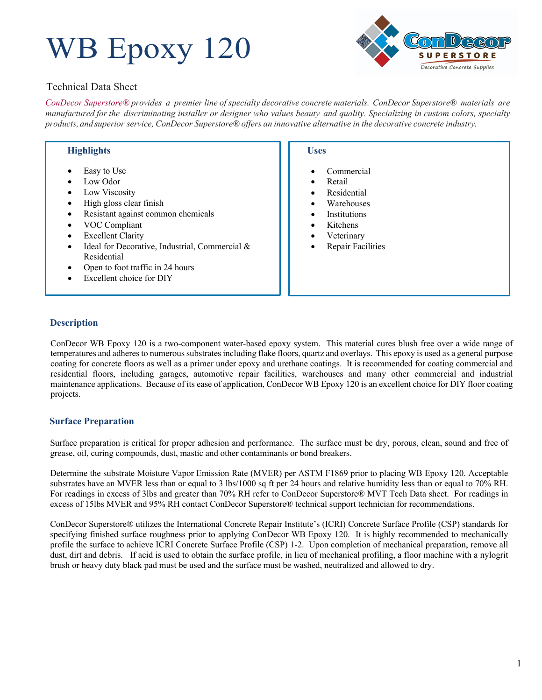# WB Epoxy 120



# Technical Data Sheet

 **Highlights**

*ConDecor Superstore® provides a premier line of specialty decorative concrete materials. ConDecor Superstore® materials are*  manufactured for the discriminating installer or designer who values beauty and quality. Specializing in custom colors, specialty *products, and superior service, ConDecor Superstore® offers an innovative alternative in the decorative concrete industry.*

#### Easy to Use • Low Odor • Low Viscosity • High gloss clear finish • Resistant against common chemicals • VOC Compliant • Excellent Clarity • Ideal for Decorative, Industrial, Commercial & Residential • Open to foot traffic in 24 hours **Commercial** • Retail **Residential Warehouses Institutions Kitchens Veterinary**

Excellent choice for DIY

#### **Uses**

- 
- Repair Facilities

# **Description**

ConDecor WB Epoxy 120 is a two-component water-based epoxy system. This material cures blush free over a wide range of temperatures and adheres to numerous substrates including flake floors, quartz and overlays. This epoxy is used as a general purpose coating for concrete floors as well as a primer under epoxy and urethane coatings. It is recommended for coating commercial and residential floors, including garages, automotive repair facilities, warehouses and many other commercial and industrial maintenance applications. Because of its ease of application, ConDecor WB Epoxy 120 is an excellent choice for DIY floor coating projects.

### **Surface Preparation**

Surface preparation is critical for proper adhesion and performance. The surface must be dry, porous, clean, sound and free of grease, oil, curing compounds, dust, mastic and other contaminants or bond breakers.

Determine the substrate Moisture Vapor Emission Rate (MVER) per ASTM F1869 prior to placing WB Epoxy 120. Acceptable substrates have an MVER less than or equal to 3 lbs/1000 sq ft per 24 hours and relative humidity less than or equal to 70% RH. For readings in excess of 3lbs and greater than 70% RH refer to ConDecor Superstore® MVT Tech Data sheet. For readings in excess of 15lbs MVER and 95% RH contact ConDecor Superstore® technical support technician for recommendations.

ConDecor Superstore® utilizes the International Concrete Repair Institute's (ICRI) Concrete Surface Profile (CSP) standards for specifying finished surface roughness prior to applying ConDecor WB Epoxy 120. It is highly recommended to mechanically profile the surface to achieve ICRI Concrete Surface Profile (CSP) 1-2. Upon completion of mechanical preparation, remove all dust, dirt and debris. If acid is used to obtain the surface profile, in lieu of mechanical profiling, a floor machine with a nylogrit brush or heavy duty black pad must be used and the surface must be washed, neutralized and allowed to dry.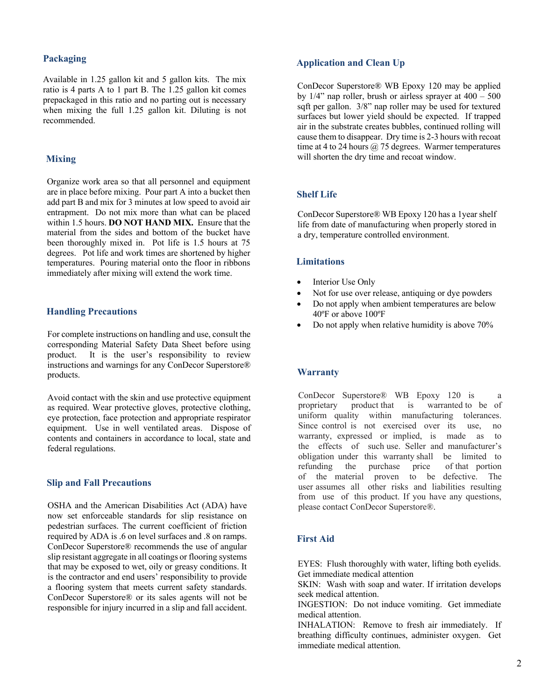#### **Packaging**

Available in 1.25 gallon kit and 5 gallon kits. The mix ratio is 4 parts A to 1 part B. The 1.25 gallon kit comes prepackaged in this ratio and no parting out is necessary when mixing the full 1.25 gallon kit. Diluting is not recommended.

#### **Mixing**

Organize work area so that all personnel and equipment are in place before mixing. Pour part A into a bucket then add part B and mix for 3 minutes at low speed to avoid air entrapment. Do not mix more than what can be placed within 1.5 hours. **DO NOT HAND MIX.** Ensure that the material from the sides and bottom of the bucket have been thoroughly mixed in. Pot life is 1.5 hours at 75 degrees. Pot life and work times are shortened by higher temperatures. Pouring material onto the floor in ribbons immediately after mixing will extend the work time.

#### **Handling Precautions**

For complete instructions on handling and use, consult the corresponding Material Safety Data Sheet before using product. It is the user's responsibility to review instructions and warnings for any ConDecor Superstore® products.

Avoid contact with the skin and use protective equipment as required. Wear protective gloves, protective clothing, eye protection, face protection and appropriate respirator equipment. Use in well ventilated areas. Dispose of contents and containers in accordance to local, state and federal regulations.

#### **Slip and Fall Precautions**

OSHA and the American Disabilities Act (ADA) have now set enforceable standards for slip resistance on pedestrian surfaces. The current coefficient of friction required by ADA is .6 on level surfaces and .8 on ramps. ConDecor Superstore® recommends the use of angular slip resistant aggregate in all coatings or flooring systems that may be exposed to wet, oily or greasy conditions. It is the contractor and end users' responsibility to provide a flooring system that meets current safety standards. ConDecor Superstore® or its sales agents will not be responsible for injury incurred in a slip and fall accident.

#### **Application and Clean Up**

ConDecor Superstore® WB Epoxy 120 may be applied by 1/4" nap roller, brush or airless sprayer at 400 – 500 sqft per gallon. 3/8" nap roller may be used for textured surfaces but lower yield should be expected. If trapped air in the substrate creates bubbles, continued rolling will cause them to disappear. Dry time is 2-3 hours with recoat time at 4 to 24 hours  $\omega$  75 degrees. Warmer temperatures will shorten the dry time and recoat window.

### **Shelf Life**

ConDecor Superstore® WB Epoxy 120 has a 1year shelf life from date of manufacturing when properly stored in a dry, temperature controlled environment.

### **Limitations**

- Interior Use Only
- Not for use over release, antiquing or dye powders
- Do not apply when ambient temperatures are below 40ºF or above 100ºF
- Do not apply when relative humidity is above 70%

### **Warranty**

ConDecor Superstore® WB Epoxy 120 is a proprietary product that is warranted to be of uniform quality within manufacturing tolerances. Since control is not exercised over its use, no warranty, expressed or implied, is made as to the effects of such use. Seller and manufacturer's obligation under this warranty shall be limited to refunding the purchase price of that portion of the material proven to be defective. The user assumes all other risks and liabilities resulting from use of this product. If you have any questions, please contact ConDecor Superstore®.

#### **First Aid**

EYES: Flush thoroughly with water, lifting both eyelids. Get immediate medical attention

SKIN: Wash with soap and water. If irritation develops seek medical attention.

INGESTION: Do not induce vomiting. Get immediate medical attention.

INHALATION: Remove to fresh air immediately. If breathing difficulty continues, administer oxygen. Get immediate medical attention.